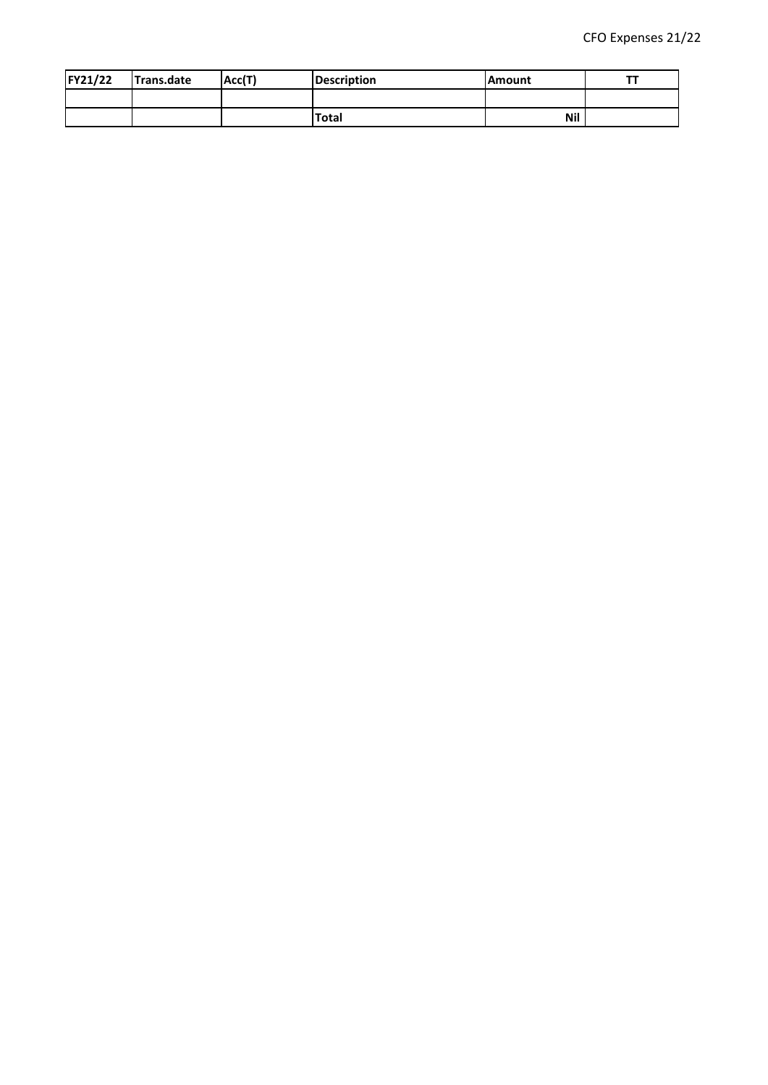| FY21/22 | Trans.date | Acc(T) | <b>Description</b> | lAmount |  |
|---------|------------|--------|--------------------|---------|--|
|         |            |        |                    |         |  |
|         |            |        | <b>Total</b>       | Nil     |  |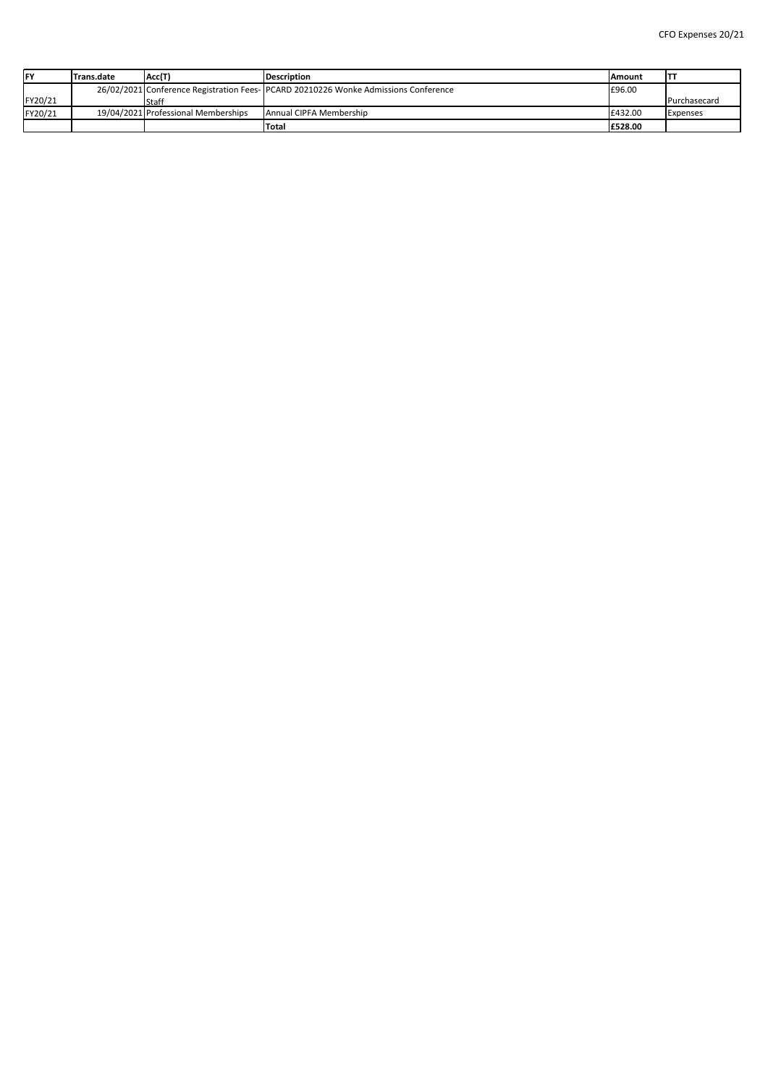| <b>FY</b> | <b>Trans.date</b> | Acc(T)                              | <b>Description</b>                                                                  | <b>IAmount</b> | ΤТ                  |
|-----------|-------------------|-------------------------------------|-------------------------------------------------------------------------------------|----------------|---------------------|
|           |                   |                                     | 26/02/2021 Conference Registration Fees- PCARD 20210226 Wonke Admissions Conference | E96.00         |                     |
| FY20/21   |                   | <b>Staff</b>                        |                                                                                     |                | <b>Purchasecard</b> |
| FY20/21   |                   | 19/04/2021 Professional Memberships | <b>Annual CIPFA Membership</b>                                                      | E432.00        | <b>Expenses</b>     |
|           |                   |                                     | <b>Total</b>                                                                        | E528.00        |                     |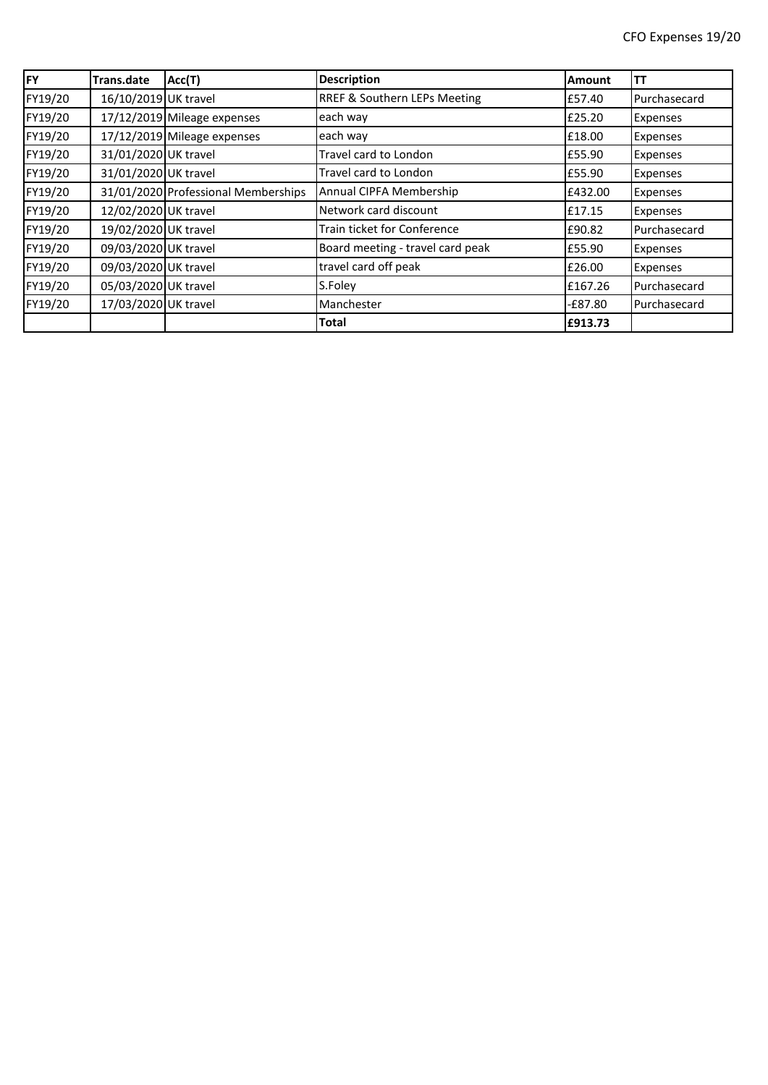| <b>FY</b> | <b>Trans.date</b>    | Acc(T)                              | <b>Description</b>                 | <b>Amount</b> | TΤ           |
|-----------|----------------------|-------------------------------------|------------------------------------|---------------|--------------|
| FY19/20   | 16/10/2019 UK travel |                                     | RREF & Southern LEPs Meeting       | £57.40        | Purchasecard |
| FY19/20   |                      | 17/12/2019 Mileage expenses         | each way                           | £25.20        | Expenses     |
| FY19/20   |                      | 17/12/2019 Mileage expenses         | each way                           | £18.00        | Expenses     |
| FY19/20   | 31/01/2020 UK travel |                                     | Travel card to London              | £55.90        | Expenses     |
| FY19/20   | 31/01/2020 UK travel |                                     | Travel card to London              | £55.90        | Expenses     |
| FY19/20   |                      | 31/01/2020 Professional Memberships | Annual CIPFA Membership            | £432.00       | Expenses     |
| FY19/20   | 12/02/2020 UK travel |                                     | Network card discount              | £17.15        | Expenses     |
| FY19/20   | 19/02/2020 UK travel |                                     | <b>Train ticket for Conference</b> | £90.82        | Purchasecard |
| FY19/20   | 09/03/2020 UK travel |                                     | Board meeting - travel card peak   | £55.90        | Expenses     |
| FY19/20   | 09/03/2020 UK travel |                                     | travel card off peak               | £26.00        | Expenses     |
| FY19/20   | 05/03/2020 UK travel |                                     | S.Foley                            | £167.26       | Purchasecard |
| FY19/20   | 17/03/2020 UK travel |                                     | Manchester                         | $-E87.80$     | Purchasecard |
|           |                      |                                     | <b>Total</b>                       | £913.73       |              |